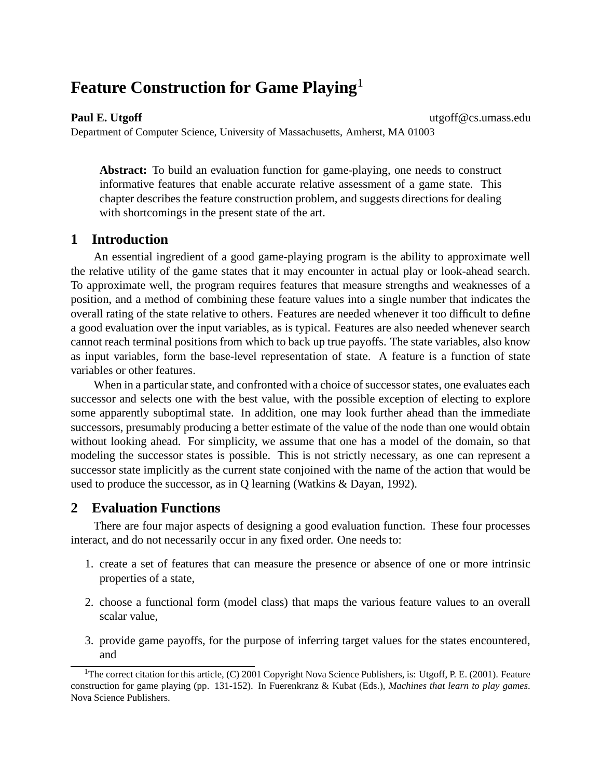# **Feature Construction for Game Playing**<sup>1</sup>

**Paul E. Utgoff** utgoff@cs.umass.edu

Department of Computer Science, University of Massachusetts, Amherst, MA 01003

**Abstract:** To build an evaluation function for game-playing, one needs to construct informative features that enable accurate relative assessment of a game state. This chapter describes the feature construction problem, and suggests directions for dealing with shortcomings in the present state of the art.

# **1 Introduction**

An essential ingredient of a good game-playing program is the ability to approximate well the relative utility of the game states that it may encounter in actual play or look-ahead search. To approximate well, the program requires features that measure strengths and weaknesses of a position, and a method of combining these feature values into a single number that indicates the overall rating of the state relative to others. Features are needed whenever it too difficult to define a good evaluation over the input variables, as is typical. Features are also needed whenever search cannot reach terminal positions from which to back up true payoffs. The state variables, also know as input variables, form the base-level representation of state. A feature is a function of state variables or other features.

When in a particular state, and confronted with a choice of successor states, one evaluates each successor and selects one with the best value, with the possible exception of electing to explore some apparently suboptimal state. In addition, one may look further ahead than the immediate successors, presumably producing a better estimate of the value of the node than one would obtain without looking ahead. For simplicity, we assume that one has a model of the domain, so that modeling the successor states is possible. This is not strictly necessary, as one can represent a successor state implicitly as the current state conjoined with the name of the action that would be used to produce the successor, as in Q learning (Watkins & Dayan, 1992).

# **2 Evaluation Functions**

There are four major aspects of designing a good evaluation function. These four processes interact, and do not necessarily occur in any fixed order. One needs to:

- 1. create a set of features that can measure the presence or absence of one or more intrinsic properties of a state,
- 2. choose a functional form (model class) that maps the various feature values to an overall scalar value,
- 3. provide game payoffs, for the purpose of inferring target values for the states encountered, and

<sup>&</sup>lt;sup>1</sup>The correct citation for this article, (C) 2001 Copyright Nova Science Publishers, is: Utgoff, P. E. (2001). Feature construction for game playing (pp. 131-152). In Fuerenkranz & Kubat (Eds.), *Machines that learn to play games*. Nova Science Publishers.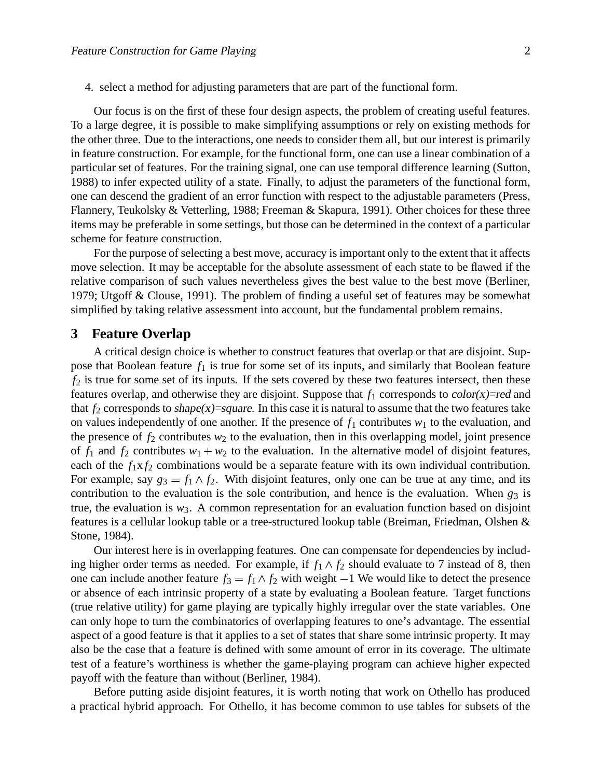4. select a method for adjusting parameters that are part of the functional form.

Our focus is on the first of these four design aspects, the problem of creating useful features. To a large degree, it is possible to make simplifying assumptions or rely on existing methods for the other three. Due to the interactions, one needs to consider them all, but our interest is primarily in feature construction. For example, for the functional form, one can use a linear combination of a particular set of features. For the training signal, one can use temporal difference learning (Sutton, 1988) to infer expected utility of a state. Finally, to adjust the parameters of the functional form, one can descend the gradient of an error function with respect to the adjustable parameters (Press, Flannery, Teukolsky & Vetterling, 1988; Freeman & Skapura, 1991). Other choices for these three items may be preferable in some settings, but those can be determined in the context of a particular scheme for feature construction.

For the purpose of selecting a best move, accuracy is important only to the extent that it affects move selection. It may be acceptable for the absolute assessment of each state to be flawed if the relative comparison of such values nevertheless gives the best value to the best move (Berliner, 1979; Utgoff & Clouse, 1991). The problem of finding a useful set of features may be somewhat simplified by taking relative assessment into account, but the fundamental problem remains.

## **3 Feature Overlap**

A critical design choice is whether to construct features that overlap or that are disjoint. Suppose that Boolean feature  $f_1$  is true for some set of its inputs, and similarly that Boolean feature  $f_2$  is true for some set of its inputs. If the sets covered by these two features intersect, then these features overlap, and otherwise they are disjoint. Suppose that  $f_1$  corresponds to color(x)=red and that  $f_2$  corresponds to shape(x)=square. In this case it is natural to assume that the two features take on values independently of one another. If the presence of  $f_1$  contributes  $w_1$  to the evaluation, and the presence of  $f_2$  contributes  $w_2$  to the evaluation, then in this overlapping model, joint presence of  $f_1$  and  $f_2$  contributes  $w_1 + w_2$  to the evaluation. In the alternative model of disjoint features, each of the  $f_1x f_2$  combinations would be a separate feature with its own individual contribution. For example, say  $g_3 = f_1 \wedge f_2$ . With disjoint features, only one can be true at any time, and its contribution to the evaluation is the sole contribution, and hence is the evaluation. When  $g_3$  is true, the evaluation is  $w_3$ . A common representation for an evaluation function based on disjoint features is a cellular lookup table or a tree-structured lookup table (Breiman, Friedman, Olshen & Stone, 1984).

Our interest here is in overlapping features. One can compensate for dependencies by including higher order terms as needed. For example, if  $f_1 \wedge f_2$  should evaluate to 7 instead of 8, then one can include another feature  $f_3 = f_1 \wedge f_2$  with weight  $-1$  We would like to detect the presence or absence of each intrinsic property of a state by evaluating a Boolean feature. Target functions (true relative utility) for game playing are typically highly irregular over the state variables. One can only hope to turn the combinatorics of overlapping features to one's advantage. The essential aspect of a good feature is that it applies to a set of states that share some intrinsic property. It may also be the case that a feature is defined with some amount of error in its coverage. The ultimate test of a feature's worthiness is whether the game-playing program can achieve higher expected payoff with the feature than without (Berliner, 1984).

Before putting aside disjoint features, it is worth noting that work on Othello has produced a practical hybrid approach. For Othello, it has become common to use tables for subsets of the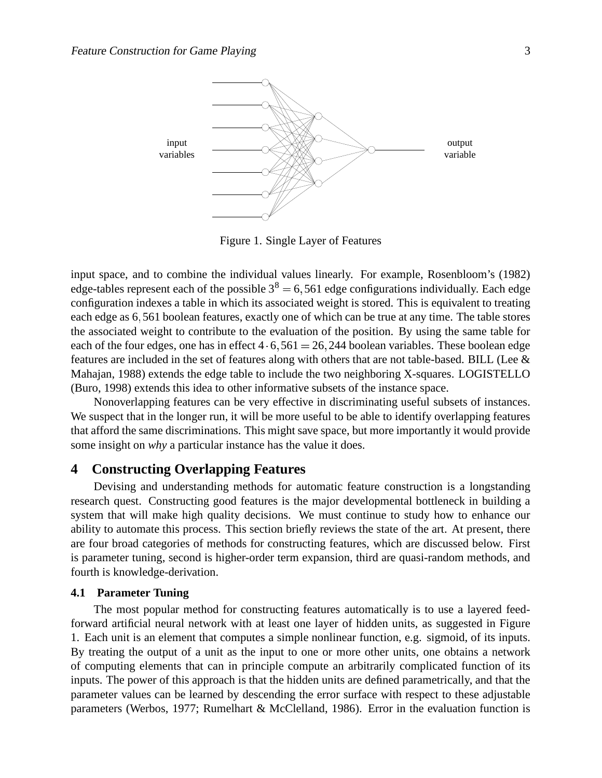

Figure 1. Single Layer of Features

input space, and to combine the individual values linearly. For example, Rosenbloom's (1982) edge-tables represent each of the possible  $3^8 = 6,561$  edge configurations individually. Each edge configuration indexes a table in which its associated weight is stored. This is equivalent to treating each edge as 6,561 boolean features, exactly one of which can be true at any time. The table stores the associated weight to contribute to the evaluation of the position. By using the same table for each of the four edges, one has in effect  $4 \cdot 6,561 = 26,244$  boolean variables. These boolean edge features are included in the set of features along with others that are not table-based. BILL (Lee & Mahajan, 1988) extends the edge table to include the two neighboring X-squares. LOGISTELLO (Buro, 1998) extends this idea to other informative subsets of the instance space.

Nonoverlapping features can be very effective in discriminating useful subsets of instances. We suspect that in the longer run, it will be more useful to be able to identify overlapping features that afford the same discriminations. This might save space, but more importantly it would provide some insight on *why* a particular instance has the value it does.

## **4 Constructing Overlapping Features**

Devising and understanding methods for automatic feature construction is a longstanding research quest. Constructing good features is the major developmental bottleneck in building a system that will make high quality decisions. We must continue to study how to enhance our ability to automate this process. This section briefly reviews the state of the art. At present, there are four broad categories of methods for constructing features, which are discussed below. First is parameter tuning, second is higher-order term expansion, third are quasi-random methods, and fourth is knowledge-derivation.

#### **4.1 Parameter Tuning**

The most popular method for constructing features automatically is to use a layered feedforward artificial neural network with at least one layer of hidden units, as suggested in Figure 1. Each unit is an element that computes a simple nonlinear function, e.g. sigmoid, of its inputs. By treating the output of a unit as the input to one or more other units, one obtains a network of computing elements that can in principle compute an arbitrarily complicated function of its inputs. The power of this approach is that the hidden units are defined parametrically, and that the parameter values can be learned by descending the error surface with respect to these adjustable parameters (Werbos, 1977; Rumelhart & McClelland, 1986). Error in the evaluation function is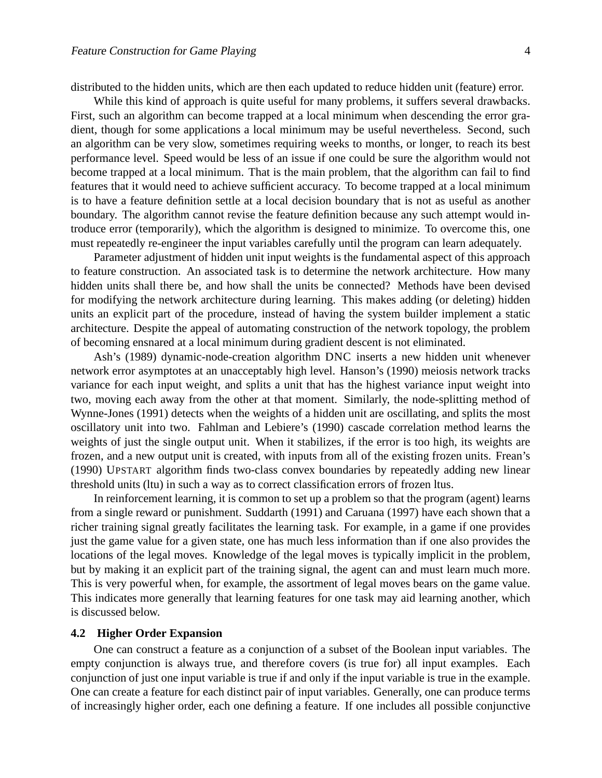distributed to the hidden units, which are then each updated to reduce hidden unit (feature) error.

While this kind of approach is quite useful for many problems, it suffers several drawbacks. First, such an algorithm can become trapped at a local minimum when descending the error gradient, though for some applications a local minimum may be useful nevertheless. Second, such an algorithm can be very slow, sometimes requiring weeks to months, or longer, to reach its best performance level. Speed would be less of an issue if one could be sure the algorithm would not become trapped at a local minimum. That is the main problem, that the algorithm can fail to find features that it would need to achieve sufficient accuracy. To become trapped at a local minimum is to have a feature definition settle at a local decision boundary that is not as useful as another boundary. The algorithm cannot revise the feature definition because any such attempt would introduce error (temporarily), which the algorithm is designed to minimize. To overcome this, one must repeatedly re-engineer the input variables carefully until the program can learn adequately.

Parameter adjustment of hidden unit input weights is the fundamental aspect of this approach to feature construction. An associated task is to determine the network architecture. How many hidden units shall there be, and how shall the units be connected? Methods have been devised for modifying the network architecture during learning. This makes adding (or deleting) hidden units an explicit part of the procedure, instead of having the system builder implement a static architecture. Despite the appeal of automating construction of the network topology, the problem of becoming ensnared at a local minimum during gradient descent is not eliminated.

Ash's (1989) dynamic-node-creation algorithm DNC inserts a new hidden unit whenever network error asymptotes at an unacceptably high level. Hanson's (1990) meiosis network tracks variance for each input weight, and splits a unit that has the highest variance input weight into two, moving each away from the other at that moment. Similarly, the node-splitting method of Wynne-Jones (1991) detects when the weights of a hidden unit are oscillating, and splits the most oscillatory unit into two. Fahlman and Lebiere's (1990) cascade correlation method learns the weights of just the single output unit. When it stabilizes, if the error is too high, its weights are frozen, and a new output unit is created, with inputs from all of the existing frozen units. Frean's (1990) UPSTART algorithm finds two-class convex boundaries by repeatedly adding new linear threshold units (ltu) in such a way as to correct classification errors of frozen ltus.

In reinforcement learning, it is common to set up a problem so that the program (agent) learns from a single reward or punishment. Suddarth (1991) and Caruana (1997) have each shown that a richer training signal greatly facilitates the learning task. For example, in a game if one provides just the game value for a given state, one has much less information than if one also provides the locations of the legal moves. Knowledge of the legal moves is typically implicit in the problem, but by making it an explicit part of the training signal, the agent can and must learn much more. This is very powerful when, for example, the assortment of legal moves bears on the game value. This indicates more generally that learning features for one task may aid learning another, which is discussed below.

#### **4.2 Higher Order Expansion**

One can construct a feature as a conjunction of a subset of the Boolean input variables. The empty conjunction is always true, and therefore covers (is true for) all input examples. Each conjunction of just one input variable is true if and only if the input variable is true in the example. One can create a feature for each distinct pair of input variables. Generally, one can produce terms of increasingly higher order, each one defining a feature. If one includes all possible conjunctive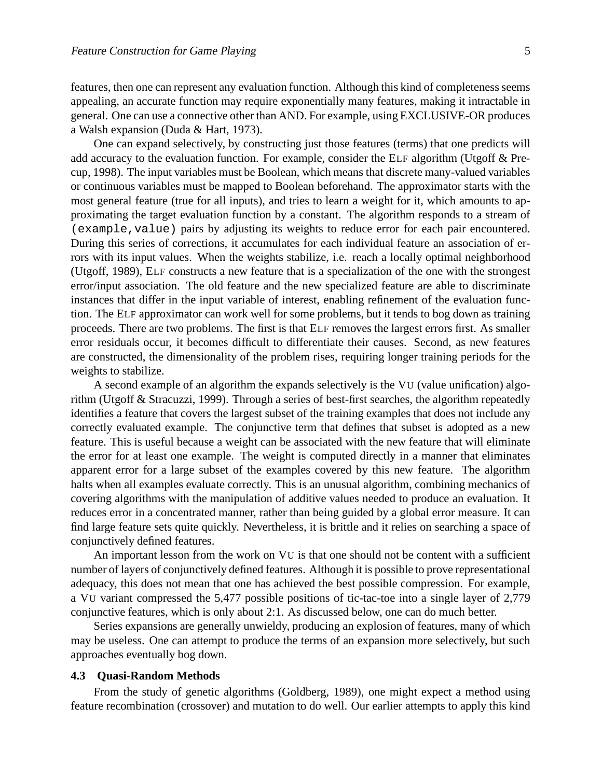features, then one can represent any evaluation function. Although this kind of completenessseems appealing, an accurate function may require exponentially many features, making it intractable in general. One can use a connective other than AND. For example, using EXCLUSIVE-OR produces a Walsh expansion (Duda & Hart, 1973).

One can expand selectively, by constructing just those features (terms) that one predicts will add accuracy to the evaluation function. For example, consider the ELF algorithm (Utgoff & Precup, 1998). The input variables must be Boolean, which means that discrete many-valued variables or continuous variables must be mapped to Boolean beforehand. The approximator starts with the most general feature (true for all inputs), and tries to learn a weight for it, which amounts to approximating the target evaluation function by a constant. The algorithm responds to a stream of (example,value) pairs by adjusting its weights to reduce error for each pair encountered. During this series of corrections, it accumulates for each individual feature an association of errors with its input values. When the weights stabilize, i.e. reach a locally optimal neighborhood (Utgoff, 1989), ELF constructs a new feature that is a specialization of the one with the strongest error/input association. The old feature and the new specialized feature are able to discriminate instances that differ in the input variable of interest, enabling refinement of the evaluation function. The ELF approximator can work well for some problems, but it tends to bog down as training proceeds. There are two problems. The first is that ELF removes the largest errors first. As smaller error residuals occur, it becomes difficult to differentiate their causes. Second, as new features are constructed, the dimensionality of the problem rises, requiring longer training periods for the weights to stabilize.

A second example of an algorithm the expands selectively is the VU (value unification) algorithm (Utgoff & Stracuzzi, 1999). Through a series of best-first searches, the algorithm repeatedly identifies a feature that covers the largest subset of the training examples that does not include any correctly evaluated example. The conjunctive term that defines that subset is adopted as a new feature. This is useful because a weight can be associated with the new feature that will eliminate the error for at least one example. The weight is computed directly in a manner that eliminates apparent error for a large subset of the examples covered by this new feature. The algorithm halts when all examples evaluate correctly. This is an unusual algorithm, combining mechanics of covering algorithms with the manipulation of additive values needed to produce an evaluation. It reduces error in a concentrated manner, rather than being guided by a global error measure. It can find large feature sets quite quickly. Nevertheless, it is brittle and it relies on searching a space of conjunctively defined features.

An important lesson from the work on VU is that one should not be content with a sufficient number of layers of conjunctively defined features. Although it is possible to prove representational adequacy, this does not mean that one has achieved the best possible compression. For example, a VU variant compressed the 5,477 possible positions of tic-tac-toe into a single layer of 2,779 conjunctive features, which is only about 2:1. As discussed below, one can do much better.

Series expansions are generally unwieldy, producing an explosion of features, many of which may be useless. One can attempt to produce the terms of an expansion more selectively, but such approaches eventually bog down.

#### **4.3 Quasi-Random Methods**

From the study of genetic algorithms (Goldberg, 1989), one might expect a method using feature recombination (crossover) and mutation to do well. Our earlier attempts to apply this kind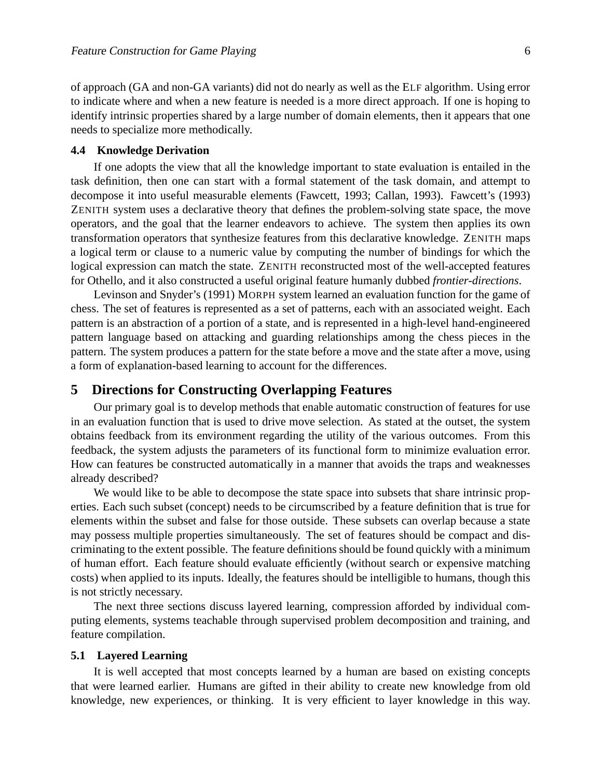of approach (GA and non-GA variants) did not do nearly as well as the ELF algorithm. Using error to indicate where and when a new feature is needed is a more direct approach. If one is hoping to identify intrinsic properties shared by a large number of domain elements, then it appears that one needs to specialize more methodically.

#### **4.4 Knowledge Derivation**

If one adopts the view that all the knowledge important to state evaluation is entailed in the task definition, then one can start with a formal statement of the task domain, and attempt to decompose it into useful measurable elements (Fawcett, 1993; Callan, 1993). Fawcett's (1993) ZENITH system uses a declarative theory that defines the problem-solving state space, the move operators, and the goal that the learner endeavors to achieve. The system then applies its own transformation operators that synthesize features from this declarative knowledge. ZENITH maps a logical term or clause to a numeric value by computing the number of bindings for which the logical expression can match the state. ZENITH reconstructed most of the well-accepted features for Othello, and it also constructed a useful original feature humanly dubbed *frontier-directions*.

Levinson and Snyder's (1991) MORPH system learned an evaluation function for the game of chess. The set of features is represented as a set of patterns, each with an associated weight. Each pattern is an abstraction of a portion of a state, and is represented in a high-level hand-engineered pattern language based on attacking and guarding relationships among the chess pieces in the pattern. The system produces a pattern for the state before a move and the state after a move, using a form of explanation-based learning to account for the differences.

# **5 Directions for Constructing Overlapping Features**

Our primary goal is to develop methods that enable automatic construction of features for use in an evaluation function that is used to drive move selection. As stated at the outset, the system obtains feedback from its environment regarding the utility of the various outcomes. From this feedback, the system adjusts the parameters of its functional form to minimize evaluation error. How can features be constructed automatically in a manner that avoids the traps and weaknesses already described?

We would like to be able to decompose the state space into subsets that share intrinsic properties. Each such subset (concept) needs to be circumscribed by a feature definition that is true for elements within the subset and false for those outside. These subsets can overlap because a state may possess multiple properties simultaneously. The set of features should be compact and discriminating to the extent possible. The feature definitions should be found quickly with a minimum of human effort. Each feature should evaluate efficiently (without search or expensive matching costs) when applied to its inputs. Ideally, the features should be intelligible to humans, though this is not strictly necessary.

The next three sections discuss layered learning, compression afforded by individual computing elements, systems teachable through supervised problem decomposition and training, and feature compilation.

#### **5.1 Layered Learning**

It is well accepted that most concepts learned by a human are based on existing concepts that were learned earlier. Humans are gifted in their ability to create new knowledge from old knowledge, new experiences, or thinking. It is very efficient to layer knowledge in this way.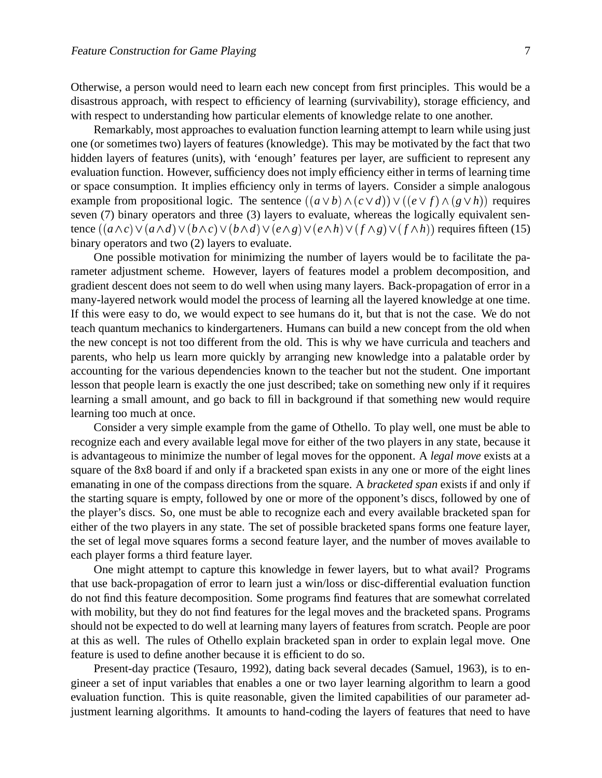Otherwise, a person would need to learn each new concept from first principles. This would be a disastrous approach, with respect to efficiency of learning (survivability), storage efficiency, and with respect to understanding how particular elements of knowledge relate to one another.

Remarkably, most approaches to evaluation function learning attempt to learn while using just one (or sometimes two) layers of features (knowledge). This may be motivated by the fact that two hidden layers of features (units), with 'enough' features per layer, are sufficient to represent any evaluation function. However, sufficiency does not imply efficiency either in terms of learning time or space consumption. It implies efficiency only in terms of layers. Consider a simple analogous example from propositional logic. The sentence  $((a \lor b) \land (c \lor d)) \lor ((e \lor f) \land (g \lor h))$  requires seven (7) binary operators and three (3) layers to evaluate, whereas the logically equivalent sentence  $((a \wedge c) \vee (a \wedge d) \vee (b \wedge c) \vee (b \wedge d) \vee (e \wedge g) \vee (e \wedge h) \vee (f \wedge g) \vee (f \wedge h))$  requires fifteen (15) binary operators and two (2) layers to evaluate.

One possible motivation for minimizing the number of layers would be to facilitate the parameter adjustment scheme. However, layers of features model a problem decomposition, and gradient descent does not seem to do well when using many layers. Back-propagation of error in a many-layered network would model the process of learning all the layered knowledge at one time. If this were easy to do, we would expect to see humans do it, but that is not the case. We do not teach quantum mechanics to kindergarteners. Humans can build a new concept from the old when the new concept is not too different from the old. This is why we have curricula and teachers and parents, who help us learn more quickly by arranging new knowledge into a palatable order by accounting for the various dependencies known to the teacher but not the student. One important lesson that people learn is exactly the one just described; take on something new only if it requires learning a small amount, and go back to fill in background if that something new would require learning too much at once.

Consider a very simple example from the game of Othello. To play well, one must be able to recognize each and every available legal move for either of the two players in any state, because it is advantageous to minimize the number of legal moves for the opponent. A *legal move* exists at a square of the 8x8 board if and only if a bracketed span exists in any one or more of the eight lines emanating in one of the compass directions from the square. A *bracketed span* exists if and only if the starting square is empty, followed by one or more of the opponent's discs, followed by one of the player's discs. So, one must be able to recognize each and every available bracketed span for either of the two players in any state. The set of possible bracketed spans forms one feature layer, the set of legal move squares forms a second feature layer, and the number of moves available to each player forms a third feature layer.

One might attempt to capture this knowledge in fewer layers, but to what avail? Programs that use back-propagation of error to learn just a win/loss or disc-differential evaluation function do not find this feature decomposition. Some programs find features that are somewhat correlated with mobility, but they do not find features for the legal moves and the bracketed spans. Programs should not be expected to do well at learning many layers of features from scratch. People are poor at this as well. The rules of Othello explain bracketed span in order to explain legal move. One feature is used to define another because it is efficient to do so.

Present-day practice (Tesauro, 1992), dating back several decades (Samuel, 1963), is to engineer a set of input variables that enables a one or two layer learning algorithm to learn a good evaluation function. This is quite reasonable, given the limited capabilities of our parameter adjustment learning algorithms. It amounts to hand-coding the layers of features that need to have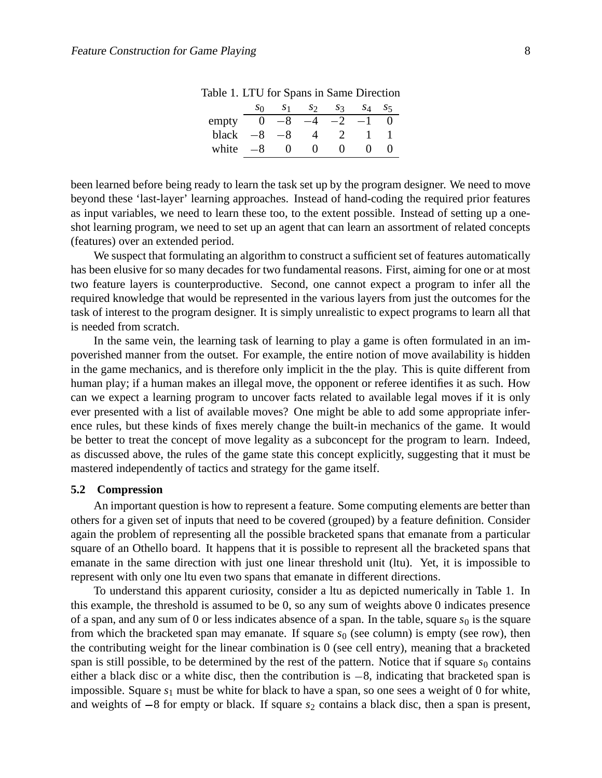|       | so       |    | S2.  | S <sub>3</sub> | S4 | S <sub>5</sub> |
|-------|----------|----|------|----------------|----|----------------|
| empty | $\theta$ | -8 | $-4$ | $-2$           |    |                |
| black | -8       | -8 |      | $\mathcal{D}$  |    |                |
| white | -8       |    |      | 0              |    |                |

Table 1. LTU for Spans in Same Direction

been learned before being ready to learn the task set up by the program designer. We need to move beyond these 'last-layer' learning approaches. Instead of hand-coding the required prior features as input variables, we need to learn these too, to the extent possible. Instead of setting up a oneshot learning program, we need to set up an agent that can learn an assortment of related concepts (features) over an extended period.

We suspect that formulating an algorithm to construct a sufficient set of features automatically has been elusive for so many decades for two fundamental reasons. First, aiming for one or at most two feature layers is counterproductive. Second, one cannot expect a program to infer all the required knowledge that would be represented in the various layers from just the outcomes for the task of interest to the program designer. It is simply unrealistic to expect programs to learn all that is needed from scratch.

In the same vein, the learning task of learning to play a game is often formulated in an impoverished manner from the outset. For example, the entire notion of move availability is hidden in the game mechanics, and is therefore only implicit in the the play. This is quite different from human play; if a human makes an illegal move, the opponent or referee identifies it as such. How can we expect a learning program to uncover facts related to available legal moves if it is only ever presented with a list of available moves? One might be able to add some appropriate inference rules, but these kinds of fixes merely change the built-in mechanics of the game. It would be better to treat the concept of move legality as a subconcept for the program to learn. Indeed, as discussed above, the rules of the game state this concept explicitly, suggesting that it must be mastered independently of tactics and strategy for the game itself.

#### **5.2 Compression**

An important question is how to represent a feature. Some computing elements are better than others for a given set of inputs that need to be covered (grouped) by a feature definition. Consider again the problem of representing all the possible bracketed spans that emanate from a particular square of an Othello board. It happens that it is possible to represent all the bracketed spans that emanate in the same direction with just one linear threshold unit (ltu). Yet, it is impossible to represent with only one ltu even two spans that emanate in different directions.

To understand this apparent curiosity, consider a ltu as depicted numerically in Table 1. In this example, the threshold is assumed to be 0, so any sum of weights above 0 indicates presence of a span, and any sum of 0 or less indicates absence of a span. In the table, square  $s_0$  is the square from which the bracketed span may emanate. If square  $s<sub>0</sub>$  (see column) is empty (see row), then the contributing weight for the linear combination is 0 (see cell entry), meaning that a bracketed span is still possible, to be determined by the rest of the pattern. Notice that if square  $s_0$  contains either a black disc or a white disc, then the contribution is  $-8$ , indicating that bracketed span is impossible. Square *s*<sup>1</sup> must be white for black to have a span, so one sees a weight of 0 for white, and weights of  $-8$  for empty or black. If square  $s_2$  contains a black disc, then a span is present,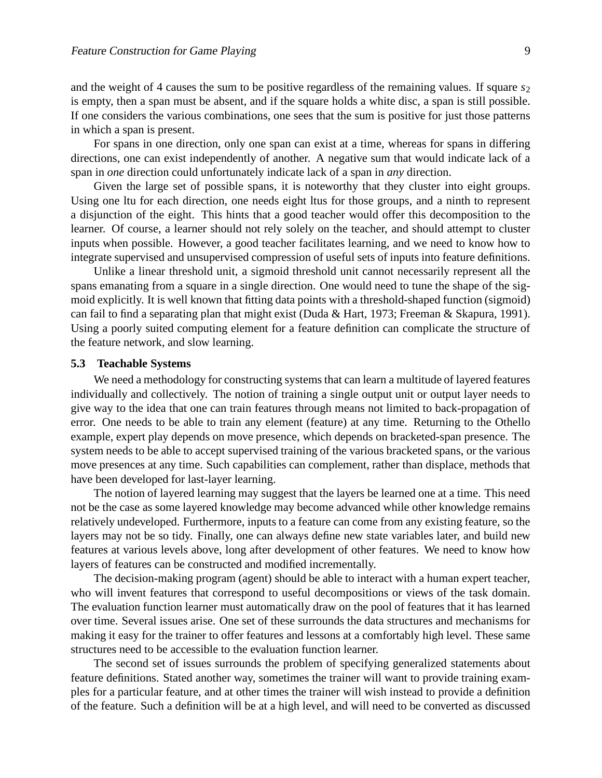and the weight of 4 causes the sum to be positive regardless of the remaining values. If square  $s<sub>2</sub>$ is empty, then a span must be absent, and if the square holds a white disc, a span is still possible. If one considers the various combinations, one sees that the sum is positive for just those patterns in which a span is present.

For spans in one direction, only one span can exist at a time, whereas for spans in differing directions, one can exist independently of another. A negative sum that would indicate lack of a span in *one* direction could unfortunately indicate lack of a span in *any* direction.

Given the large set of possible spans, it is noteworthy that they cluster into eight groups. Using one ltu for each direction, one needs eight ltus for those groups, and a ninth to represent a disjunction of the eight. This hints that a good teacher would offer this decomposition to the learner. Of course, a learner should not rely solely on the teacher, and should attempt to cluster inputs when possible. However, a good teacher facilitates learning, and we need to know how to integrate supervised and unsupervised compression of useful sets of inputs into feature definitions.

Unlike a linear threshold unit, a sigmoid threshold unit cannot necessarily represent all the spans emanating from a square in a single direction. One would need to tune the shape of the sigmoid explicitly. It is well known that fitting data points with a threshold-shaped function (sigmoid) can fail to find a separating plan that might exist (Duda & Hart, 1973; Freeman & Skapura, 1991). Using a poorly suited computing element for a feature definition can complicate the structure of the feature network, and slow learning.

#### **5.3 Teachable Systems**

We need a methodology for constructing systems that can learn a multitude of layered features individually and collectively. The notion of training a single output unit or output layer needs to give way to the idea that one can train features through means not limited to back-propagation of error. One needs to be able to train any element (feature) at any time. Returning to the Othello example, expert play depends on move presence, which depends on bracketed-span presence. The system needs to be able to accept supervised training of the various bracketed spans, or the various move presences at any time. Such capabilities can complement, rather than displace, methods that have been developed for last-layer learning.

The notion of layered learning may suggest that the layers be learned one at a time. This need not be the case as some layered knowledge may become advanced while other knowledge remains relatively undeveloped. Furthermore, inputs to a feature can come from any existing feature, so the layers may not be so tidy. Finally, one can always define new state variables later, and build new features at various levels above, long after development of other features. We need to know how layers of features can be constructed and modified incrementally.

The decision-making program (agent) should be able to interact with a human expert teacher, who will invent features that correspond to useful decompositions or views of the task domain. The evaluation function learner must automatically draw on the pool of features that it has learned over time. Several issues arise. One set of these surrounds the data structures and mechanisms for making it easy for the trainer to offer features and lessons at a comfortably high level. These same structures need to be accessible to the evaluation function learner.

The second set of issues surrounds the problem of specifying generalized statements about feature definitions. Stated another way, sometimes the trainer will want to provide training examples for a particular feature, and at other times the trainer will wish instead to provide a definition of the feature. Such a definition will be at a high level, and will need to be converted as discussed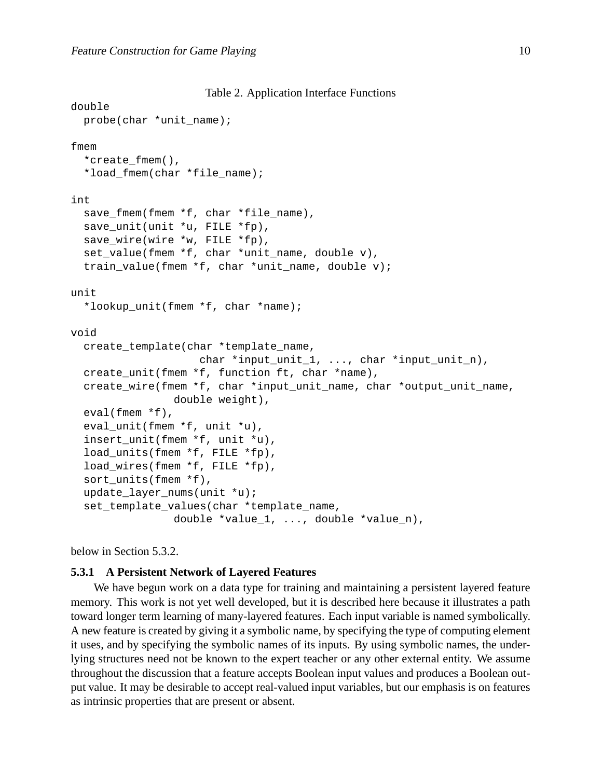```
Table 2. Application Interface Functions
```

```
double
  probe(char *unit_name);
fmem
  *create_fmem(),
  *load fmem(char *file name);
int
  save_fmem(fmem *f, char *file_name),
  save_unit(unit *u, FILE *fp),
  save_wire(wire *w, FILE *fp),
  set_value(fmem *f, char *unit_name, double v),
  train value(fmem *f, char *unit name, double v);
unit
  *lookup_unit(fmem *f, char *name);
void
  create_template(char *template_name,
                    char *input_unit_1, ..., char *input_unit_n),
  create_unit(fmem *f, function ft, char *name),
  create_wire(fmem *f, char *input_unit_name, char *output_unit_name,
                double weight),
  eval(fmem *f),
  eval_unit(fmem *f, unit *u),
  insert unit(fmem *f, unit *u),
  load_units(fmem *f, FILE *fp),
  load_wires(fmem *f, FILE *fp),
  sort_units(fmem *f),
  update_layer_nums(unit *u);
  set_template_values(char *template_name,
                double *value_1, ..., double *value_n),
```
below in Section 5.3.2.

## **5.3.1 A Persistent Network of Layered Features**

We have begun work on a data type for training and maintaining a persistent layered feature memory. This work is not yet well developed, but it is described here because it illustrates a path toward longer term learning of many-layered features. Each input variable is named symbolically. A new feature is created by giving it a symbolic name, by specifying the type of computing element it uses, and by specifying the symbolic names of its inputs. By using symbolic names, the underlying structures need not be known to the expert teacher or any other external entity. We assume throughout the discussion that a feature accepts Boolean input values and produces a Boolean output value. It may be desirable to accept real-valued input variables, but our emphasis is on features as intrinsic properties that are present or absent.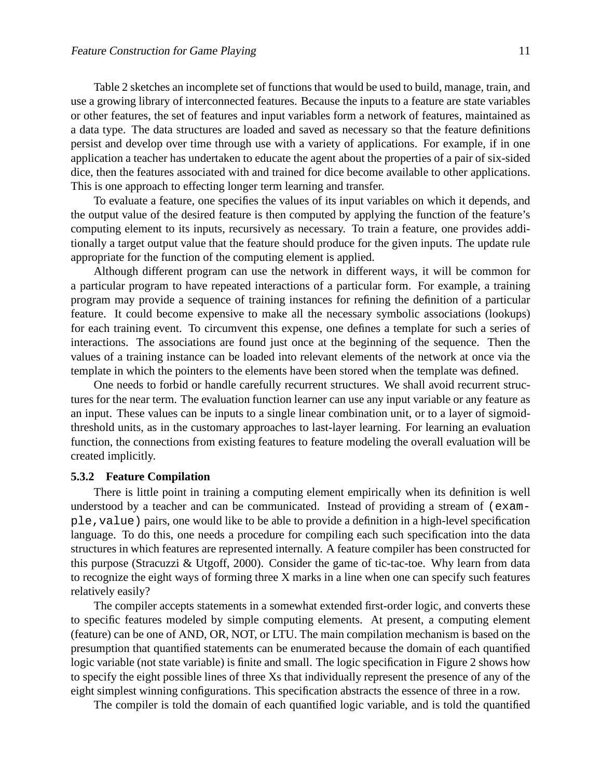Table 2 sketches an incomplete set of functions that would be used to build, manage, train, and use a growing library of interconnected features. Because the inputs to a feature are state variables or other features, the set of features and input variables form a network of features, maintained as a data type. The data structures are loaded and saved as necessary so that the feature definitions persist and develop over time through use with a variety of applications. For example, if in one application a teacher has undertaken to educate the agent about the properties of a pair of six-sided dice, then the features associated with and trained for dice become available to other applications. This is one approach to effecting longer term learning and transfer.

To evaluate a feature, one specifies the values of its input variables on which it depends, and the output value of the desired feature is then computed by applying the function of the feature's computing element to its inputs, recursively as necessary. To train a feature, one provides additionally a target output value that the feature should produce for the given inputs. The update rule appropriate for the function of the computing element is applied.

Although different program can use the network in different ways, it will be common for a particular program to have repeated interactions of a particular form. For example, a training program may provide a sequence of training instances for refining the definition of a particular feature. It could become expensive to make all the necessary symbolic associations (lookups) for each training event. To circumvent this expense, one defines a template for such a series of interactions. The associations are found just once at the beginning of the sequence. Then the values of a training instance can be loaded into relevant elements of the network at once via the template in which the pointers to the elements have been stored when the template was defined.

One needs to forbid or handle carefully recurrent structures. We shall avoid recurrent structures for the near term. The evaluation function learner can use any input variable or any feature as an input. These values can be inputs to a single linear combination unit, or to a layer of sigmoidthreshold units, as in the customary approaches to last-layer learning. For learning an evaluation function, the connections from existing features to feature modeling the overall evaluation will be created implicitly.

#### **5.3.2 Feature Compilation**

There is little point in training a computing element empirically when its definition is well understood by a teacher and can be communicated. Instead of providing a stream of (example,value) pairs, one would like to be able to provide a definition in a high-level specification language. To do this, one needs a procedure for compiling each such specification into the data structures in which features are represented internally. A feature compiler has been constructed for this purpose (Stracuzzi & Utgoff, 2000). Consider the game of tic-tac-toe. Why learn from data to recognize the eight ways of forming three X marks in a line when one can specify such features relatively easily?

The compiler accepts statements in a somewhat extended first-order logic, and converts these to specific features modeled by simple computing elements. At present, a computing element (feature) can be one of AND, OR, NOT, or LTU. The main compilation mechanism is based on the presumption that quantified statements can be enumerated because the domain of each quantified logic variable (not state variable) is finite and small. The logic specification in Figure 2 shows how to specify the eight possible lines of three Xs that individually represent the presence of any of the eight simplest winning configurations. This specification abstracts the essence of three in a row.

The compiler is told the domain of each quantified logic variable, and is told the quantified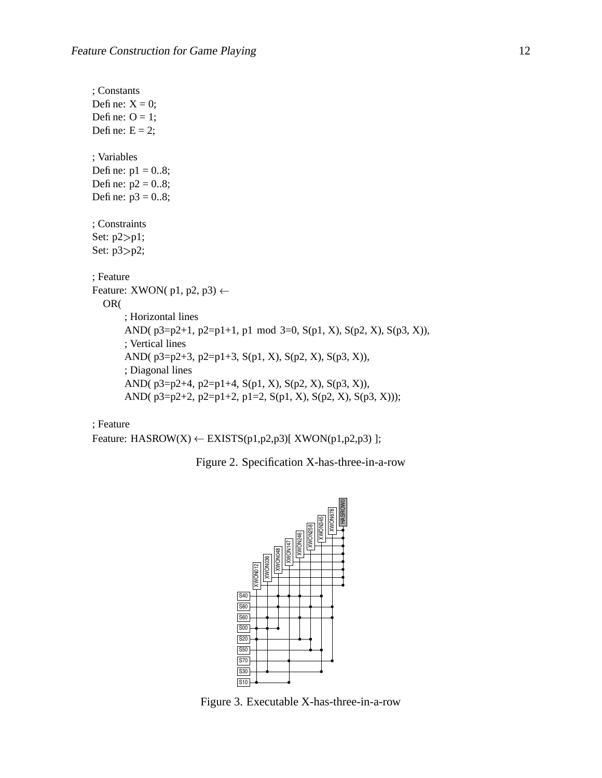```
; Constants
Define: X = 0;
Define: O = 1;
Define: E = 2;
; Variables
Define: p1 = 0.8;
Define: p2 = 0.8;
Define: p3 = 0.8;
; Constraints
Set: p2 > p1;
Set: p3>p2;
; Feature
Feature: XWON(p1, p2, p3) \leftarrowOR(
       ; Horizontal lines
       AND(p3=p2+1, p2=p1+1, p1 \mod 3=0, S(p1, X), S(p2, X), S(p3, X)),
       ; Vertical lines
       AND( p3=p2+3, p2=p1+3, S(p1, X), S(p2, X), S(p3, X)),
       ; Diagonal lines
       AND( p3=p2+4, p2=p1+4, S(p1, X), S(p2, X), S(p3, X)),
       AND( p3=p2+2, p2=p1+2, p1=2, S(p1, X), S(p2, X), S(p3, X)));
```
### ; Feature

Feature: HASROW $(X) \leftarrow EXISTS(p1,p2,p3)[ XWON(p1,p2,p3) ]$ ;

Figure 2. Specification X-has-three-in-a-row



Figure 3. Executable X-has-three-in-a-row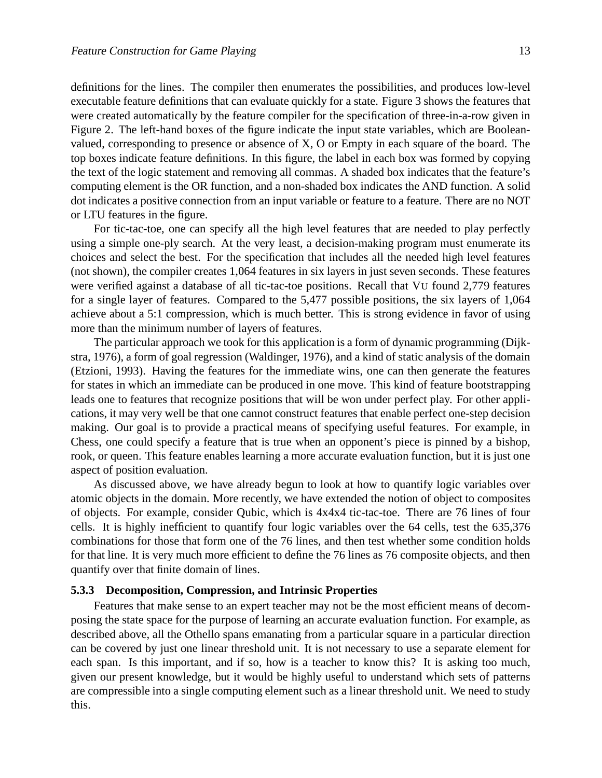definitions for the lines. The compiler then enumerates the possibilities, and produces low-level executable feature definitions that can evaluate quickly for a state. Figure 3 shows the features that were created automatically by the feature compiler for the specification of three-in-a-row given in Figure 2. The left-hand boxes of the figure indicate the input state variables, which are Booleanvalued, corresponding to presence or absence of X, O or Empty in each square of the board. The top boxes indicate feature definitions. In this figure, the label in each box was formed by copying the text of the logic statement and removing all commas. A shaded box indicates that the feature's computing element is the OR function, and a non-shaded box indicates the AND function. A solid dot indicates a positive connection from an input variable or feature to a feature. There are no NOT or LTU features in the figure.

For tic-tac-toe, one can specify all the high level features that are needed to play perfectly using a simple one-ply search. At the very least, a decision-making program must enumerate its choices and select the best. For the specification that includes all the needed high level features (not shown), the compiler creates 1,064 features in six layers in just seven seconds. These features were verified against a database of all tic-tac-toe positions. Recall that VU found 2,779 features for a single layer of features. Compared to the 5,477 possible positions, the six layers of 1,064 achieve about a 5:1 compression, which is much better. This is strong evidence in favor of using more than the minimum number of layers of features.

The particular approach we took for this application is a form of dynamic programming (Dijkstra, 1976), a form of goal regression (Waldinger, 1976), and a kind of static analysis of the domain (Etzioni, 1993). Having the features for the immediate wins, one can then generate the features for states in which an immediate can be produced in one move. This kind of feature bootstrapping leads one to features that recognize positions that will be won under perfect play. For other applications, it may very well be that one cannot construct features that enable perfect one-step decision making. Our goal is to provide a practical means of specifying useful features. For example, in Chess, one could specify a feature that is true when an opponent's piece is pinned by a bishop, rook, or queen. This feature enables learning a more accurate evaluation function, but it is just one aspect of position evaluation.

As discussed above, we have already begun to look at how to quantify logic variables over atomic objects in the domain. More recently, we have extended the notion of object to composites of objects. For example, consider Qubic, which is 4x4x4 tic-tac-toe. There are 76 lines of four cells. It is highly inefficient to quantify four logic variables over the 64 cells, test the 635,376 combinations for those that form one of the 76 lines, and then test whether some condition holds for that line. It is very much more efficient to define the 76 lines as 76 composite objects, and then quantify over that finite domain of lines.

#### **5.3.3 Decomposition, Compression, and Intrinsic Properties**

Features that make sense to an expert teacher may not be the most efficient means of decomposing the state space for the purpose of learning an accurate evaluation function. For example, as described above, all the Othello spans emanating from a particular square in a particular direction can be covered by just one linear threshold unit. It is not necessary to use a separate element for each span. Is this important, and if so, how is a teacher to know this? It is asking too much, given our present knowledge, but it would be highly useful to understand which sets of patterns are compressible into a single computing element such as a linear threshold unit. We need to study this.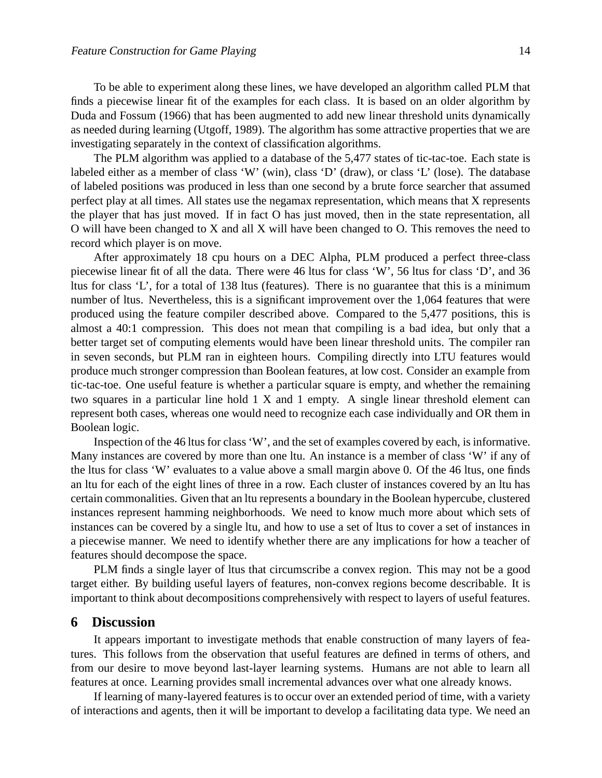To be able to experiment along these lines, we have developed an algorithm called PLM that finds a piecewise linear fit of the examples for each class. It is based on an older algorithm by Duda and Fossum (1966) that has been augmented to add new linear threshold units dynamically as needed during learning (Utgoff, 1989). The algorithm has some attractive properties that we are investigating separately in the context of classification algorithms.

The PLM algorithm was applied to a database of the 5,477 states of tic-tac-toe. Each state is labeled either as a member of class 'W' (win), class 'D' (draw), or class 'L' (lose). The database of labeled positions was produced in less than one second by a brute force searcher that assumed perfect play at all times. All states use the negamax representation, which means that X represents the player that has just moved. If in fact O has just moved, then in the state representation, all O will have been changed to X and all X will have been changed to O. This removes the need to record which player is on move.

After approximately 18 cpu hours on a DEC Alpha, PLM produced a perfect three-class piecewise linear fit of all the data. There were 46 ltus for class 'W', 56 ltus for class 'D', and 36 ltus for class 'L', for a total of 138 ltus (features). There is no guarantee that this is a minimum number of ltus. Nevertheless, this is a significant improvement over the 1,064 features that were produced using the feature compiler described above. Compared to the 5,477 positions, this is almost a 40:1 compression. This does not mean that compiling is a bad idea, but only that a better target set of computing elements would have been linear threshold units. The compiler ran in seven seconds, but PLM ran in eighteen hours. Compiling directly into LTU features would produce much stronger compression than Boolean features, at low cost. Consider an example from tic-tac-toe. One useful feature is whether a particular square is empty, and whether the remaining two squares in a particular line hold 1 X and 1 empty. A single linear threshold element can represent both cases, whereas one would need to recognize each case individually and OR them in Boolean logic.

Inspection of the 46 ltus for class 'W', and the set of examples covered by each, is informative. Many instances are covered by more than one ltu. An instance is a member of class 'W' if any of the ltus for class 'W' evaluates to a value above a small margin above 0. Of the 46 ltus, one finds an ltu for each of the eight lines of three in a row. Each cluster of instances covered by an ltu has certain commonalities. Given that an ltu represents a boundary in the Boolean hypercube, clustered instances represent hamming neighborhoods. We need to know much more about which sets of instances can be covered by a single ltu, and how to use a set of ltus to cover a set of instances in a piecewise manner. We need to identify whether there are any implications for how a teacher of features should decompose the space.

PLM finds a single layer of ltus that circumscribe a convex region. This may not be a good target either. By building useful layers of features, non-convex regions become describable. It is important to think about decompositions comprehensively with respect to layers of useful features.

# **6 Discussion**

It appears important to investigate methods that enable construction of many layers of features. This follows from the observation that useful features are defined in terms of others, and from our desire to move beyond last-layer learning systems. Humans are not able to learn all features at once. Learning provides small incremental advances over what one already knows.

If learning of many-layered features is to occur over an extended period of time, with a variety of interactions and agents, then it will be important to develop a facilitating data type. We need an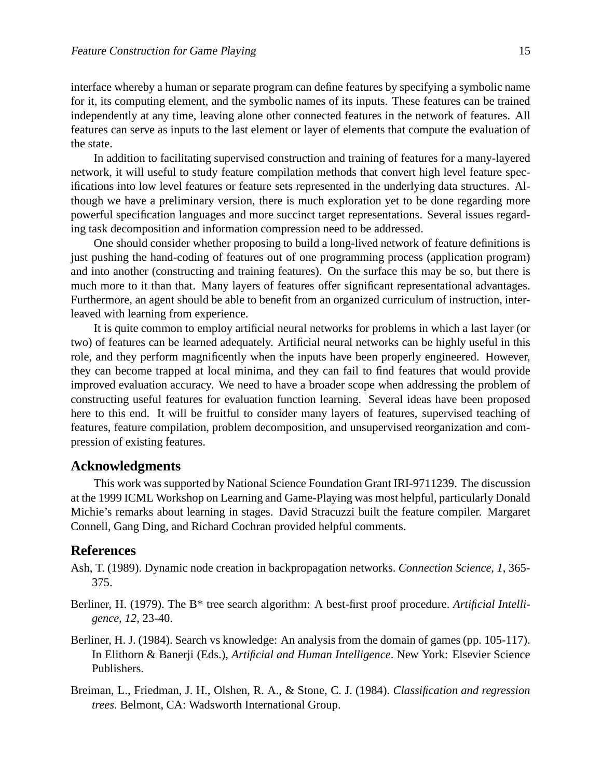interface whereby a human or separate program can define features by specifying a symbolic name for it, its computing element, and the symbolic names of its inputs. These features can be trained independently at any time, leaving alone other connected features in the network of features. All features can serve as inputs to the last element or layer of elements that compute the evaluation of the state.

In addition to facilitating supervised construction and training of features for a many-layered network, it will useful to study feature compilation methods that convert high level feature specifications into low level features or feature sets represented in the underlying data structures. Although we have a preliminary version, there is much exploration yet to be done regarding more powerful specification languages and more succinct target representations. Several issues regarding task decomposition and information compression need to be addressed.

One should consider whether proposing to build a long-lived network of feature definitions is just pushing the hand-coding of features out of one programming process (application program) and into another (constructing and training features). On the surface this may be so, but there is much more to it than that. Many layers of features offer significant representational advantages. Furthermore, an agent should be able to benefit from an organized curriculum of instruction, interleaved with learning from experience.

It is quite common to employ artificial neural networks for problems in which a last layer (or two) of features can be learned adequately. Artificial neural networks can be highly useful in this role, and they perform magnificently when the inputs have been properly engineered. However, they can become trapped at local minima, and they can fail to find features that would provide improved evaluation accuracy. We need to have a broader scope when addressing the problem of constructing useful features for evaluation function learning. Several ideas have been proposed here to this end. It will be fruitful to consider many layers of features, supervised teaching of features, feature compilation, problem decomposition, and unsupervised reorganization and compression of existing features.

## **Acknowledgments**

This work was supported by National Science Foundation Grant IRI-9711239. The discussion at the 1999 ICML Workshop on Learning and Game-Playing was most helpful, particularly Donald Michie's remarks about learning in stages. David Stracuzzi built the feature compiler. Margaret Connell, Gang Ding, and Richard Cochran provided helpful comments.

# **References**

- Ash, T. (1989). Dynamic node creation in backpropagation networks. *Connection Science, 1*, 365- 375.
- Berliner, H. (1979). The B\* tree search algorithm: A best-first proof procedure. *Artificial Intelligence, 12*, 23-40.
- Berliner, H. J. (1984). Search vs knowledge: An analysis from the domain of games (pp. 105-117). In Elithorn & Banerji (Eds.), *Artificial and Human Intelligence*. New York: Elsevier Science Publishers.
- Breiman, L., Friedman, J. H., Olshen, R. A., & Stone, C. J. (1984). *Classification and regression trees*. Belmont, CA: Wadsworth International Group.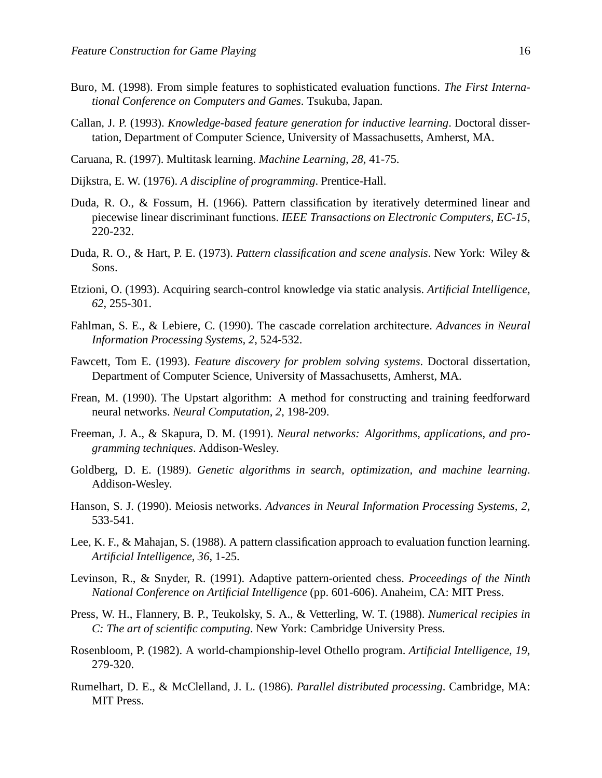- Buro, M. (1998). From simple features to sophisticated evaluation functions. *The First International Conference on Computers and Games*. Tsukuba, Japan.
- Callan, J. P. (1993). *Knowledge-based feature generation for inductive learning*. Doctoral dissertation, Department of Computer Science, University of Massachusetts, Amherst, MA.
- Caruana, R. (1997). Multitask learning. *Machine Learning, 28*, 41-75.
- Dijkstra, E. W. (1976). *A discipline of programming*. Prentice-Hall.
- Duda, R. O., & Fossum, H. (1966). Pattern classification by iteratively determined linear and piecewise linear discriminant functions. *IEEE Transactions on Electronic Computers, EC-15*, 220-232.
- Duda, R. O., & Hart, P. E. (1973). *Pattern classification and scene analysis*. New York: Wiley & Sons.
- Etzioni, O. (1993). Acquiring search-control knowledge via static analysis. *Artificial Intelligence, 62*, 255-301.
- Fahlman, S. E., & Lebiere, C. (1990). The cascade correlation architecture. *Advances in Neural Information Processing Systems, 2*, 524-532.
- Fawcett, Tom E. (1993). *Feature discovery for problem solving systems*. Doctoral dissertation, Department of Computer Science, University of Massachusetts, Amherst, MA.
- Frean, M. (1990). The Upstart algorithm: A method for constructing and training feedforward neural networks. *Neural Computation, 2*, 198-209.
- Freeman, J. A., & Skapura, D. M. (1991). *Neural networks: Algorithms, applications, and programming techniques*. Addison-Wesley.
- Goldberg, D. E. (1989). *Genetic algorithms in search, optimization, and machine learning*. Addison-Wesley.
- Hanson, S. J. (1990). Meiosis networks. *Advances in Neural Information Processing Systems, 2*, 533-541.
- Lee, K. F., & Mahajan, S. (1988). A pattern classification approach to evaluation function learning. *Artificial Intelligence, 36*, 1-25.
- Levinson, R., & Snyder, R. (1991). Adaptive pattern-oriented chess. *Proceedings of the Ninth National Conference on Artificial Intelligence* (pp. 601-606). Anaheim, CA: MIT Press.
- Press, W. H., Flannery, B. P., Teukolsky, S. A., & Vetterling, W. T. (1988). *Numerical recipies in C: The art of scientific computing*. New York: Cambridge University Press.
- Rosenbloom, P. (1982). A world-championship-level Othello program. *Artificial Intelligence, 19*, 279-320.
- Rumelhart, D. E., & McClelland, J. L. (1986). *Parallel distributed processing*. Cambridge, MA: MIT Press.